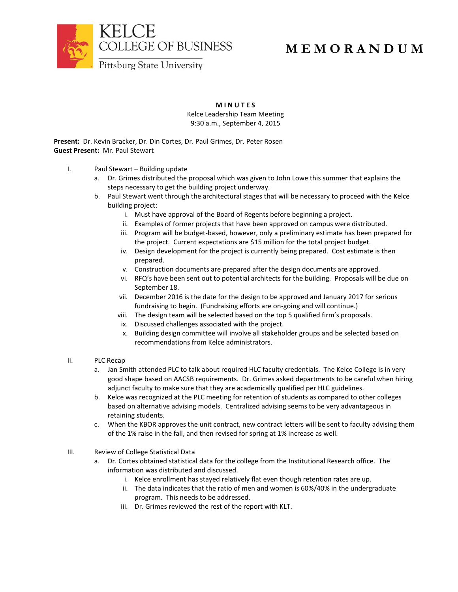

## **M E M O R A N D U M**

**M I N U T E S**

Kelce Leadership Team Meeting 9:30 a.m., September 4, 2015

**Present:** Dr. Kevin Bracker, Dr. Din Cortes, Dr. Paul Grimes, Dr. Peter Rosen **Guest Present:** Mr. Paul Stewart

- I. Paul Stewart Building update
	- a. Dr. Grimes distributed the proposal which was given to John Lowe this summer that explains the steps necessary to get the building project underway.
	- b. Paul Stewart went through the architectural stages that will be necessary to proceed with the Kelce building project:
		- i. Must have approval of the Board of Regents before beginning a project.
		- ii. Examples of former projects that have been approved on campus were distributed.
		- iii. Program will be budget-based, however, only a preliminary estimate has been prepared for the project. Current expectations are \$15 million for the total project budget.
		- iv. Design development for the project is currently being prepared. Cost estimate is then prepared.
		- v. Construction documents are prepared after the design documents are approved.
		- vi. RFQ's have been sent out to potential architects for the building. Proposals will be due on September 18.
		- vii. December 2016 is the date for the design to be approved and January 2017 for serious fundraising to begin. (Fundraising efforts are on-going and will continue.)
		- viii. The design team will be selected based on the top 5 qualified firm's proposals.
		- ix. Discussed challenges associated with the project.
		- x. Building design committee will involve all stakeholder groups and be selected based on recommendations from Kelce administrators.
- II. PLC Recap
	- a. Jan Smith attended PLC to talk about required HLC faculty credentials. The Kelce College is in very good shape based on AACSB requirements. Dr. Grimes asked departments to be careful when hiring adjunct faculty to make sure that they are academically qualified per HLC guidelines.
	- b. Kelce was recognized at the PLC meeting for retention of students as compared to other colleges based on alternative advising models. Centralized advising seems to be very advantageous in retaining students.
	- c. When the KBOR approves the unit contract, new contract letters will be sent to faculty advising them of the 1% raise in the fall, and then revised for spring at 1% increase as well.
- III. Review of College Statistical Data
	- a. Dr. Cortes obtained statistical data for the college from the Institutional Research office. The information was distributed and discussed.
		- i. Kelce enrollment has stayed relatively flat even though retention rates are up.
		- ii. The data indicates that the ratio of men and women is 60%/40% in the undergraduate program. This needs to be addressed.
		- iii. Dr. Grimes reviewed the rest of the report with KLT.